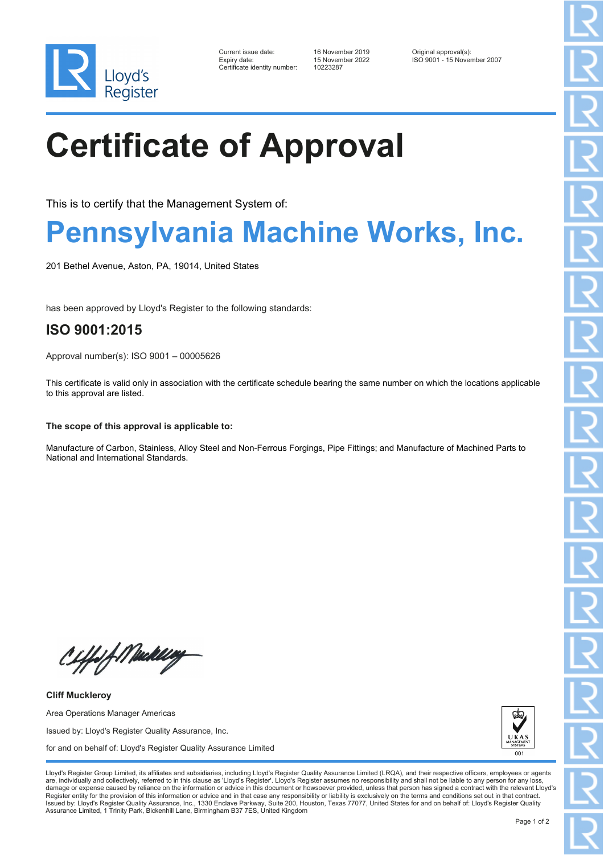

| Current issue date:         |
|-----------------------------|
| Expiry date:                |
| Certificate identity number |

Certificate identity number: 10223287

Current issue date: 16 November 2019 Original approval(s): Expiry date: 15 November 2022 ISO 9001 - 15 November 2007

# **Certificate of Approval**

This is to certify that the Management System of:

### **Pennsylvania Machine Works, Inc.**

201 Bethel Avenue, Aston, PA, 19014, United States

has been approved by Lloyd's Register to the following standards:

### **ISO 9001:2015**

Approval number(s): ISO 9001 – 00005626

This certificate is valid only in association with the certificate schedule bearing the same number on which the locations applicable to this approval are listed.

**The scope of this approval is applicable to:**

Manufacture of Carbon, Stainless, Alloy Steel and Non-Ferrous Forgings, Pipe Fittings; and Manufacture of Machined Parts to National and International Standards.

Ciffof Medilley

**Cliff Muckleroy** Area Operations Manager Americas Issued by: Lloyd's Register Quality Assurance, Inc. for and on behalf of: Lloyd's Register Quality Assurance Limited



Lloyd's Register Group Limited, its affiliates and subsidiaries, including Lloyd's Register Quality Assurance Limited (LRQA), and their respective officers, employees or agents are, individually and collectively, referred to in this clause as 'Lloyd's Register'. Lloyd's Register assumes no responsibility and shall not be liable to any person for any los damage or expense caused by reliance on the information or advice in this document or howsoever provided, unless that person has signed a contract with the relevant Lloyd's<br>Register entity for the provision of this informa Issued by: Lloyd's Register Quality Assurance, Inc., 1330 Enclave Parkway, Suite 200, Houston, Texas 77077, United States for and on behalf of: Lloyd's Register Quality Assurance Limited, 1 Trinity Park, Bickenhill Lane, Birmingham B37 7ES, United Kingdom